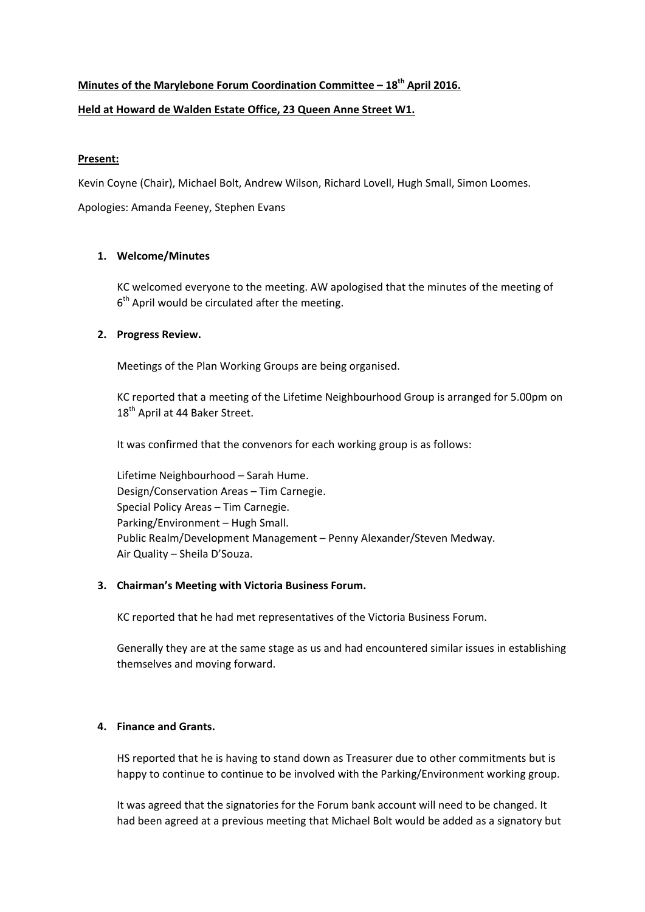# **Minutes of the Marylebone Forum Coordination Committee – 18th April 2016. Held at Howard de Walden Estate Office, 23 Queen Anne Street W1.**

## **Present:**

Kevin Coyne (Chair), Michael Bolt, Andrew Wilson, Richard Lovell, Hugh Small, Simon Loomes.

Apologies: Amanda Feeney, Stephen Evans

## **1. Welcome/Minutes**

KC welcomed everyone to the meeting. AW apologised that the minutes of the meeting of  $6<sup>th</sup>$  April would be circulated after the meeting.

## **2. Progress Review.**

Meetings of the Plan Working Groups are being organised.

KC reported that a meeting of the Lifetime Neighbourhood Group is arranged for 5.00pm on 18<sup>th</sup> April at 44 Baker Street.

It was confirmed that the convenors for each working group is as follows:

Lifetime Neighbourhood – Sarah Hume. Design/Conservation Areas – Tim Carnegie. Special Policy Areas – Tim Carnegie. Parking/Environment – Hugh Small. Public Realm/Development Management – Penny Alexander/Steven Medway. Air Quality – Sheila D'Souza.

## **3. Chairman's Meeting with Victoria Business Forum.**

KC reported that he had met representatives of the Victoria Business Forum.

Generally they are at the same stage as us and had encountered similar issues in establishing themselves and moving forward.

## **4. Finance and Grants.**

HS reported that he is having to stand down as Treasurer due to other commitments but is happy to continue to continue to be involved with the Parking/Environment working group.

It was agreed that the signatories for the Forum bank account will need to be changed. It had been agreed at a previous meeting that Michael Bolt would be added as a signatory but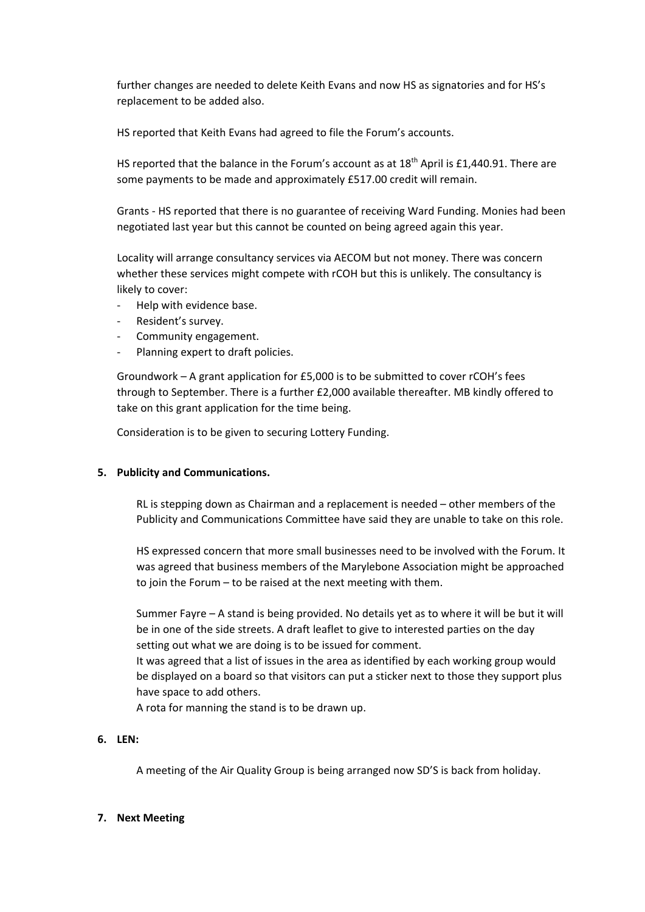further changes are needed to delete Keith Evans and now HS as signatories and for HS's replacement to be added also.

HS reported that Keith Evans had agreed to file the Forum's accounts.

HS reported that the balance in the Forum's account as at  $18<sup>th</sup>$  April is £1,440.91. There are some payments to be made and approximately £517.00 credit will remain.

Grants ‐ HS reported that there is no guarantee of receiving Ward Funding. Monies had been negotiated last year but this cannot be counted on being agreed again this year.

Locality will arrange consultancy services via AECOM but not money. There was concern whether these services might compete with rCOH but this is unlikely. The consultancy is likely to cover:

- ‐ Help with evidence base.
- ‐ Resident's survey.
- ‐ Community engagement.
- ‐ Planning expert to draft policies.

Groundwork – A grant application for £5,000 is to be submitted to cover rCOH's fees through to September. There is a further £2,000 available thereafter. MB kindly offered to take on this grant application for the time being.

Consideration is to be given to securing Lottery Funding.

#### **5. Publicity and Communications.**

RL is stepping down as Chairman and a replacement is needed – other members of the Publicity and Communications Committee have said they are unable to take on this role.

HS expressed concern that more small businesses need to be involved with the Forum. It was agreed that business members of the Marylebone Association might be approached to join the Forum – to be raised at the next meeting with them.

Summer Fayre – A stand is being provided. No details yet as to where it will be but it will be in one of the side streets. A draft leaflet to give to interested parties on the day setting out what we are doing is to be issued for comment.

It was agreed that a list of issues in the area as identified by each working group would be displayed on a board so that visitors can put a sticker next to those they support plus have space to add others.

A rota for manning the stand is to be drawn up.

## **6. LEN:**

A meeting of the Air Quality Group is being arranged now SD'S is back from holiday.

#### **7. Next Meeting**